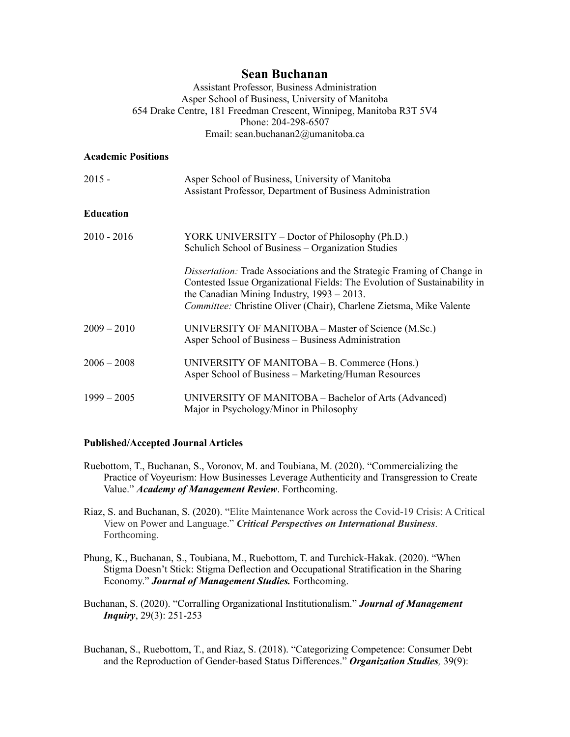# **Sean Buchanan**

Assistant Professor, Business Administration Asper School of Business, University of Manitoba 654 Drake Centre, 181 Freedman Crescent, Winnipeg, Manitoba R3T 5V4 Phone: 204-298-6507 Email: sean.buchanan2@umanitoba.ca

#### **Academic Positions**

| $2015 -$         | Asper School of Business, University of Manitoba<br>Assistant Professor, Department of Business Administration                                                                                                                                                                      |
|------------------|-------------------------------------------------------------------------------------------------------------------------------------------------------------------------------------------------------------------------------------------------------------------------------------|
| <b>Education</b> |                                                                                                                                                                                                                                                                                     |
| $2010 - 2016$    | YORK UNIVERSITY – Doctor of Philosophy (Ph.D.)<br>Schulich School of Business – Organization Studies                                                                                                                                                                                |
|                  | Dissertation: Trade Associations and the Strategic Framing of Change in<br>Contested Issue Organizational Fields: The Evolution of Sustainability in<br>the Canadian Mining Industry, $1993 - 2013$ .<br><i>Committee:</i> Christine Oliver (Chair), Charlene Zietsma, Mike Valente |
| $2009 - 2010$    | UNIVERSITY OF MANITOBA – Master of Science (M.Sc.)<br>Asper School of Business – Business Administration                                                                                                                                                                            |
| $2006 - 2008$    | UNIVERSITY OF MANITOBA – B. Commerce (Hons.)<br>Asper School of Business – Marketing/Human Resources                                                                                                                                                                                |
| $1999 - 2005$    | UNIVERSITY OF MANITOBA – Bachelor of Arts (Advanced)<br>Major in Psychology/Minor in Philosophy                                                                                                                                                                                     |

# **Published/Accepted Journal Articles**

- Ruebottom, T., Buchanan, S., Voronov, M. and Toubiana, M. (2020). "Commercializing the Practice of Voyeurism: How Businesses Leverage Authenticity and Transgression to Create Value." *Academy of Management Review*. Forthcoming.
- Riaz, S. and Buchanan, S. (2020). "Elite Maintenance Work across the Covid-19 Crisis: A Critical View on Power and Language." *Critical Perspectives on International Business*. Forthcoming.
- Phung, K., Buchanan, S., Toubiana, M., Ruebottom, T. and Turchick-Hakak. (2020). "When Stigma Doesn't Stick: Stigma Deflection and Occupational Stratification in the Sharing Economy." *Journal of Management Studies.* Forthcoming.
- Buchanan, S. (2020). "Corralling Organizational Institutionalism." *Journal of Management Inquiry*, 29(3): 251-253
- Buchanan, S., Ruebottom, T., and Riaz, S. (2018). "Categorizing Competence: Consumer Debt and the Reproduction of Gender-based Status Differences." *Organization Studies,* 39(9):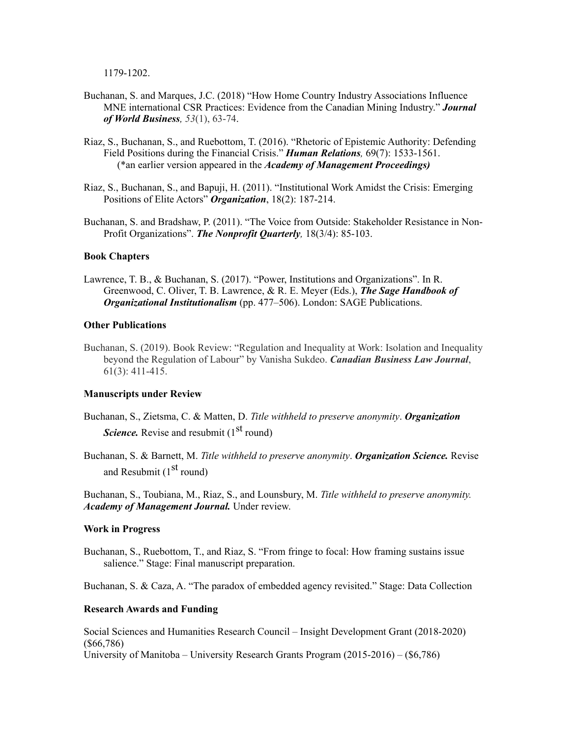1179-1202.

- Buchanan, S. and Marques, J.C. (2018) "How Home Country Industry Associations Influence MNE international CSR Practices: Evidence from the Canadian Mining Industry." *Journal of World Business, 53*(1), 63-74.
- Riaz, S., Buchanan, S., and Ruebottom, T. (2016). "Rhetoric of Epistemic Authority: Defending Field Positions during the Financial Crisis." *Human Relations,* 69(7): 1533-1561. (\*an earlier version appeared in the *Academy of Management Proceedings)*
- Riaz, S., Buchanan, S., and Bapuji, H. (2011). "Institutional Work Amidst the Crisis: Emerging Positions of Elite Actors" *Organization*, 18(2): 187-214.
- Buchanan, S. and Bradshaw, P. (2011). "The Voice from Outside: Stakeholder Resistance in Non-Profit Organizations". *The Nonprofit Quarterly,* 18(3/4): 85-103.

## **Book Chapters**

Lawrence, T. B., & Buchanan, S. (2017). "Power, Institutions and Organizations". In R. Greenwood, C. Oliver, T. B. Lawrence, & R. E. Meyer (Eds.), *The Sage Handbook of Organizational Institutionalism* (pp. 477–506). London: SAGE Publications.

## **Other Publications**

Buchanan, S. (2019). Book Review: "Regulation and Inequality at Work: Isolation and Inequality beyond the Regulation of Labour" by Vanisha Sukdeo. *Canadian Business Law Journal*, 61(3): 411-415.

# **Manuscripts under Review**

- Buchanan, S., Zietsma, C. & Matten, D. *Title withheld to preserve anonymity*. *Organization Science*. Revise and resubmit (1<sup>st</sup> round)
- Buchanan, S. & Barnett, M. *Title withheld to preserve anonymity*. *Organization Science.* Revise and Resubmit  $(1<sup>st</sup>$  round)

Buchanan, S., Toubiana, M., Riaz, S., and Lounsbury, M. *Title withheld to preserve anonymity. Academy of Management Journal.* Under review.

#### **Work in Progress**

Buchanan, S., Ruebottom, T., and Riaz, S. "From fringe to focal: How framing sustains issue salience." Stage: Final manuscript preparation.

Buchanan, S. & Caza, A. "The paradox of embedded agency revisited." Stage: Data Collection

#### **Research Awards and Funding**

Social Sciences and Humanities Research Council – Insight Development Grant (2018-2020) (\$66,786) University of Manitoba – University Research Grants Program (2015-2016) – (\$6,786)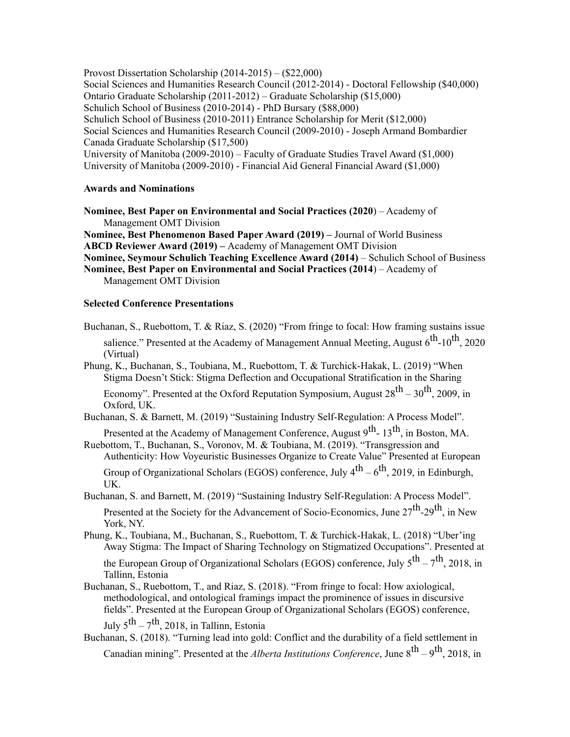Provost Dissertation Scholarship (2014-2015) – (\$22,000) Social Sciences and Humanities Research Council (2012-2014) - Doctoral Fellowship (\$40,000) Ontario Graduate Scholarship (2011-2012) – Graduate Scholarship (\$15,000) Schulich School of Business (2010-2014) - PhD Bursary (\$88,000) Schulich School of Business (2010-2011) Entrance Scholarship for Merit (\$12,000) Social Sciences and Humanities Research Council (2009-2010) - Joseph Armand Bombardier Canada Graduate Scholarship (\$17,500) University of Manitoba (2009-2010) – Faculty of Graduate Studies Travel Award (\$1,000) University of Manitoba (2009-2010) - Financial Aid General Financial Award (\$1,000)

## **Awards and Nominations**

**Nominee, Best Paper on Environmental and Social Practices (2020**) – Academy of Management OMT Division

**Nominee, Best Phenomenon Based Paper Award (2019) –** Journal of World Business **ABCD Reviewer Award (2019) –** Academy of Management OMT Division

**Nominee, Seymour Schulich Teaching Excellence Award (2014)** – Schulich School of Business

**Nominee, Best Paper on Environmental and Social Practices (2014**) – Academy of Management OMT Division

## **Selected Conference Presentations**

Buchanan, S., Ruebottom, T. & Riaz, S. (2020) "From fringe to focal: How framing sustains issue salience." Presented at the Academy of Management Annual Meeting, August  $6^{th}$ -10<sup>th</sup>, 2020 (Virtual)

Phung, K., Buchanan, S., Toubiana, M., Ruebottom, T. & Turchick-Hakak, L. (2019) "When Stigma Doesn't Stick: Stigma Deflection and Occupational Stratification in the Sharing

Economy". Presented at the Oxford Reputation Symposium, August  $28^{th} - 30^{th}$ , 2009, in Oxford, UK.

Buchanan, S. & Barnett, M. (2019) "Sustaining Industry Self-Regulation: A Process Model".

Presented at the Academy of Management Conference, August 9<sup>th</sup>- 13<sup>th</sup>, in Boston, MA. Ruebottom, T., Buchanan, S., Voronov, M. & Toubiana, M. (2019). "Transgression and

Authenticity: How Voyeuristic Businesses Organize to Create Value" Presented at European Group of Organizational Scholars (EGOS) conference, July  $4^{th} - 6^{th}$ , 2019, in Edinburgh,

UK. Buchanan, S. and Barnett, M. (2019) "Sustaining Industry Self-Regulation: A Process Model".

Presented at the Society for the Advancement of Socio-Economics, June 27<sup>th</sup>-29<sup>th</sup>, in New York, NY.

Phung, K., Toubiana, M., Buchanan, S., Ruebottom, T. & Turchick-Hakak, L. (2018) "Uber'ing Away Stigma: The Impact of Sharing Technology on Stigmatized Occupations". Presented at

the European Group of Organizational Scholars (EGOS) conference, July  $5^{th} - 7^{th}$ , 2018, in Tallinn, Estonia

Buchanan, S., Ruebottom, T., and Riaz, S. (2018). "From fringe to focal: How axiological, methodological, and ontological framings impact the prominence of issues in discursive fields". Presented at the European Group of Organizational Scholars (EGOS) conference,

July  $5^{\text{th}} - 7^{\text{th}}$ , 2018, in Tallinn, Estonia

Buchanan, S. (2018). "Turning lead into gold: Conflict and the durability of a field settlement in Canadian mining". Presented at the *Alberta Institutions Conference*, June  $8^{th} - 9^{th}$ , 2018, in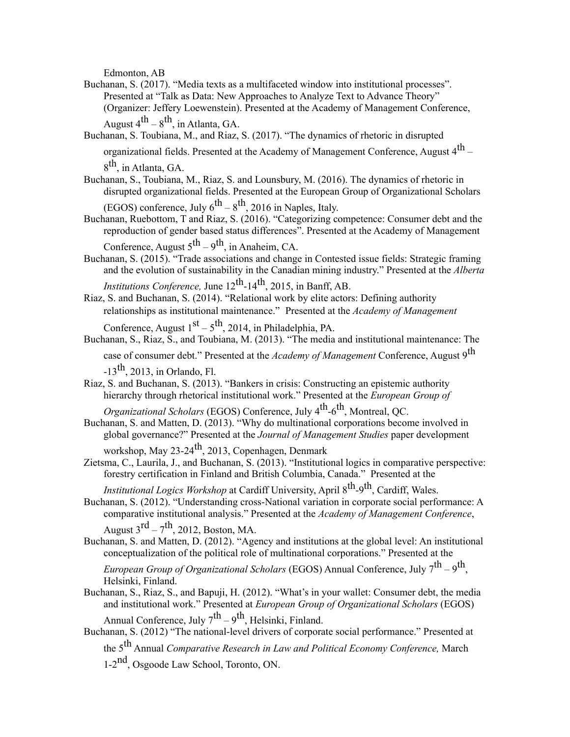Edmonton, AB

- Buchanan, S. (2017). "Media texts as a multifaceted window into institutional processes". Presented at "Talk as Data: New Approaches to Analyze Text to Advance Theory" (Organizer: Jeffery Loewenstein). Presented at the Academy of Management Conference, August  $4^{th} - 8^{th}$ , in Atlanta, GA.
- Buchanan, S. Toubiana, M., and Riaz, S. (2017). "The dynamics of rhetoric in disrupted organizational fields. Presented at the Academy of Management Conference, August 4<sup>th</sup> – 8<sup>th</sup>, in Atlanta, GA.
- Buchanan, S., Toubiana, M., Riaz, S. and Lounsbury, M. (2016). The dynamics of rhetoric in disrupted organizational fields. Presented at the European Group of Organizational Scholars
	- (EGOS) conference, July  $6^{th} 8^{th}$ , 2016 in Naples, Italy.
- Buchanan, Ruebottom, T and Riaz, S. (2016). "Categorizing competence: Consumer debt and the reproduction of gender based status differences". Presented at the Academy of Management Conference, August  $5^{th} - 9^{th}$ , in Anaheim, CA.
- Buchanan, S. (2015). "Trade associations and change in Contested issue fields: Strategic framing and the evolution of sustainability in the Canadian mining industry." Presented at the *Alberta Institutions Conference, June*  $12^{th}$ -14<sup>th</sup>, 2015, in Banff, AB.
- Riaz, S. and Buchanan, S. (2014). "Relational work by elite actors: Defining authority relationships as institutional maintenance." Presented at the *Academy of Management*  Conference, August  $1<sup>st</sup> – 5<sup>th</sup>$ , 2014, in Philadelphia, PA.
- Buchanan, S., Riaz, S., and Toubiana, M. (2013). "The media and institutional maintenance: The case of consumer debt." Presented at the *Academy of Management* Conference, August 9th  $-13$ <sup>th</sup>, 2013, in Orlando, Fl.
- Riaz, S. and Buchanan, S. (2013). "Bankers in crisis: Constructing an epistemic authority hierarchy through rhetorical institutional work." Presented at the *European Group of*

*Organizational Scholars* (EGOS) Conference, July 4th-6th, Montreal, QC.

- Buchanan, S. and Matten, D. (2013). "Why do multinational corporations become involved in global governance?" Presented at the *Journal of Management Studies* paper development workshop, May 23-24 $\text{th}$ , 2013, Copenhagen, Denmark
- Zietsma, C., Laurila, J., and Buchanan, S. (2013). "Institutional logics in comparative perspective: forestry certification in Finland and British Columbia, Canada." Presented at the
	- *Institutional Logics Workshop* at Cardiff University, April 8<sup>th</sup>-9<sup>th</sup>, Cardiff, Wales.
- Buchanan, S. (2012). "Understanding cross-National variation in corporate social performance: A comparative institutional analysis." Presented at the *Academy of Management Conference*, August  $3^{\text{rd}} - 7^{\text{th}}$ , 2012, Boston, MA.
- Buchanan, S. and Matten, D. (2012). "Agency and institutions at the global level: An institutional conceptualization of the political role of multinational corporations." Presented at the

*European Group of Organizational Scholars* (EGOS) Annual Conference, July 7<sup>th</sup> – 9<sup>th</sup>. Helsinki, Finland.

Buchanan, S., Riaz, S., and Bapuji, H. (2012). "What's in your wallet: Consumer debt, the media and institutional work." Presented at *European Group of Organizational Scholars* (EGOS)

Annual Conference, July  $7^{th} - 9^{th}$ , Helsinki, Finland.

Buchanan, S. (2012) "The national-level drivers of corporate social performance." Presented at the 5th Annual *Comparative Research in Law and Political Economy Conference,* March 1-2nd, Osgoode Law School, Toronto, ON.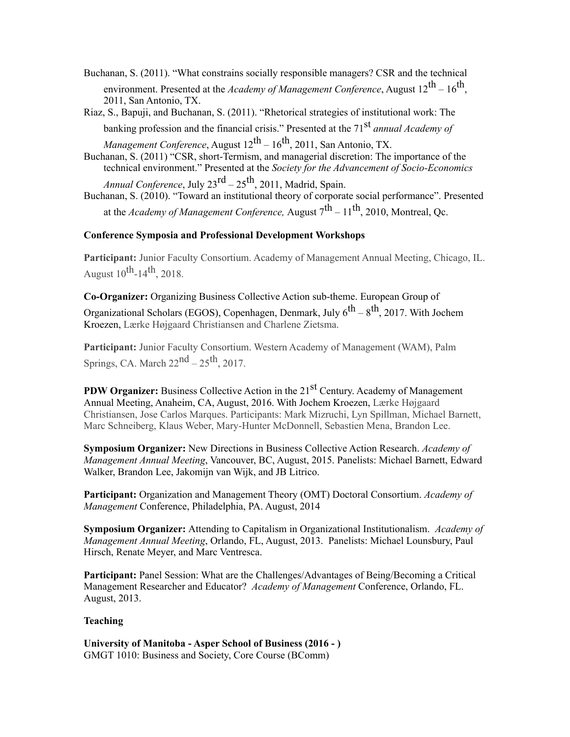Buchanan, S. (2011). "What constrains socially responsible managers? CSR and the technical environment. Presented at the *Academy of Management Conference*, August  $12^{th} - 16^{th}$ , 2011, San Antonio, TX.

Riaz, S., Bapuji, and Buchanan, S. (2011). "Rhetorical strategies of institutional work: The banking profession and the financial crisis." Presented at the 71<sup>st</sup> *annual Academy of Management Conference*, August 12th – 16th, 2011, San Antonio, TX.

Buchanan, S. (2011) "CSR, short-Termism, and managerial discretion: The importance of the technical environment." Presented at the *Society for the Advancement of Socio-Economics Annual Conference*, July 23rd – 25th, 2011, Madrid, Spain.

Buchanan, S. (2010). "Toward an institutional theory of corporate social performance". Presented at the *Academy of Management Conference*, August  $7<sup>th</sup> - 11<sup>th</sup>$ , 2010, Montreal, Oc.

# **Conference Symposia and Professional Development Workshops**

**Participant:** Junior Faculty Consortium. Academy of Management Annual Meeting, Chicago, IL. August  $10^{th}$ -14<sup>th</sup>, 2018.

**Co-Organizer:** Organizing Business Collective Action sub-theme. European Group of Organizational Scholars (EGOS), Copenhagen, Denmark, July  $6^{th} - 8^{th}$ , 2017. With Jochem Kroezen, Lærke Højgaard Christiansen and Charlene Zietsma.

**Participant:** Junior Faculty Consortium. Western Academy of Management (WAM), Palm Springs, CA. March  $22^{nd}$  –  $25^{th}$ , 2017.

**PDW Organizer:** Business Collective Action in the 21<sup>st</sup> Century. Academy of Management Annual Meeting, Anaheim, CA, August, 2016. With Jochem Kroezen, Lærke Højgaard Christiansen, Jose Carlos Marques. Participants: Mark Mizruchi, Lyn Spillman, Michael Barnett, Marc Schneiberg, Klaus Weber, Mary-Hunter McDonnell, Sebastien Mena, Brandon Lee.

**Symposium Organizer:** New Directions in Business Collective Action Research. *Academy of Management Annual Meeting*, Vancouver, BC, August, 2015. Panelists: Michael Barnett, Edward Walker, Brandon Lee, Jakomijn van Wijk, and JB Litrico.

**Participant:** Organization and Management Theory (OMT) Doctoral Consortium. *Academy of Management* Conference, Philadelphia, PA. August, 2014

**Symposium Organizer:** Attending to Capitalism in Organizational Institutionalism. *Academy of Management Annual Meeting*, Orlando, FL, August, 2013. Panelists: Michael Lounsbury, Paul Hirsch, Renate Meyer, and Marc Ventresca.

**Participant:** Panel Session: What are the Challenges/Advantages of Being/Becoming a Critical Management Researcher and Educator? *Academy of Management* Conference, Orlando, FL. August, 2013.

# **Teaching**

**University of Manitoba - Asper School of Business (2016 - )** GMGT 1010: Business and Society, Core Course (BComm)